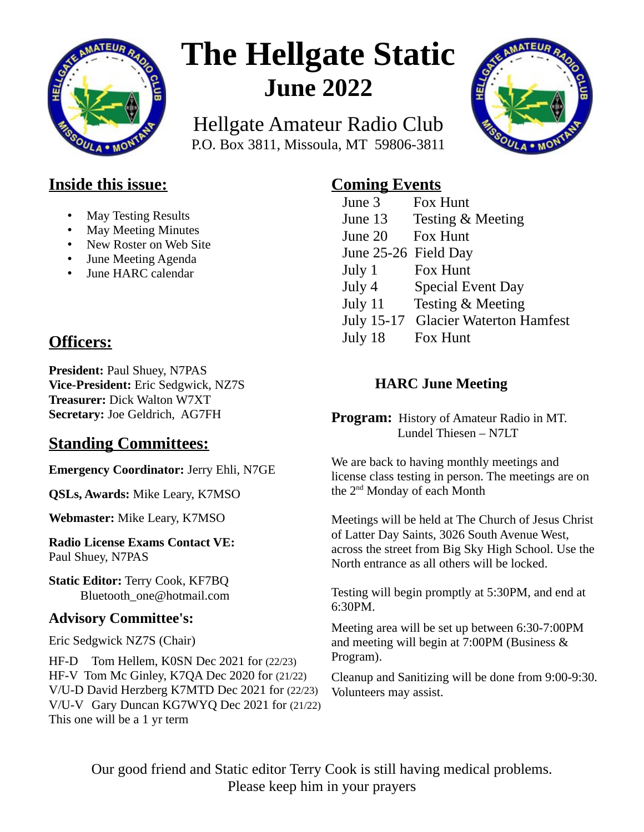

# **The Hellgate Static June 2022**

Hellgate Amateur Radio Club P.O. Box 3811, Missoula, MT 59806-3811



#### **Inside this issue:**

- May Testing Results
- May Meeting Minutes
- New Roster on Web Site
- June Meeting Agenda
- June HARC calendar

## **Officers:**

**President:** Paul Shuey, N7PAS **Vice-President:** Eric Sedgwick, NZ7S **Treasurer:** Dick Walton W7XT **Secretary:** Joe Geldrich, AG7FH

#### **Standing Committees:**

**Emergency Coordinator:** Jerry Ehli, N7GE

**QSLs, Awards:** Mike Leary, K7MSO

**Webmaster:** Mike Leary, K7MSO

**Radio License Exams Contact VE:** Paul Shuey, N7PAS

**Static Editor:** Terry Cook, KF7BQ Bluetooth\_one@hotmail.com

#### **Advisory Committee's:**

Eric Sedgwick NZ7S (Chair)

HF-D Tom Hellem, K0SN Dec 2021 for (22/23) HF-V Tom Mc Ginley, K7QA Dec 2020 for (21/22) V/U-D David Herzberg K7MTD Dec 2021 for (22/23) V/U-V Gary Duncan KG7WYQ Dec 2021 for (21/22) This one will be a 1 yr term

### **Coming Events**

| June 3               | Fox Hunt                        |
|----------------------|---------------------------------|
| June 13              | <b>Testing &amp; Meeting</b>    |
| June 20              | Fox Hunt                        |
| June 25-26 Field Day |                                 |
| July 1               | Fox Hunt                        |
| July 4               | <b>Special Event Day</b>        |
| July 11              | Testing & Meeting               |
| July 15-17           | <b>Glacier Waterton Hamfest</b> |
| July 18              | Fox Hunt                        |

#### **HARC June Meeting**

**Program:** History of Amateur Radio in MT. Lundel Thiesen – N7LT

We are back to having monthly meetings and license class testing in person. The meetings are on the 2nd Monday of each Month

Meetings will be held at The Church of Jesus Christ of Latter Day Saints, 3026 South Avenue West, across the street from Big Sky High School. Use the North entrance as all others will be locked.

Testing will begin promptly at 5:30PM, and end at 6:30PM.

Meeting area will be set up between 6:30-7:00PM and meeting will begin at 7:00PM (Business & Program).

Cleanup and Sanitizing will be done from 9:00-9:30. Volunteers may assist.

Our good friend and Static editor Terry Cook is still having medical problems. Please keep him in your prayers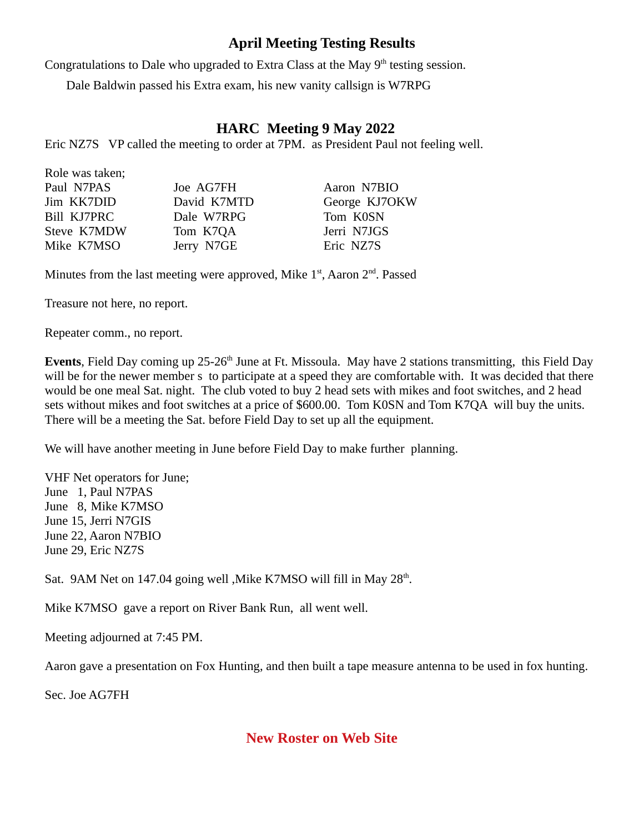#### **April Meeting Testing Results**

Congratulations to Dale who upgraded to Extra Class at the May  $9<sup>th</sup>$  testing session.

Dale Baldwin passed his Extra exam, his new vanity callsign is W7RPG

#### **HARC Meeting 9 May 2022**

Eric NZ7S VP called the meeting to order at 7PM. as President Paul not feeling well.

| Paul N7PAS  | Joe AG7FH   | Aaron N7BIO   |
|-------------|-------------|---------------|
| Jim KK7DID  | David K7MTD | George KJ7OKW |
| Bill KJ7PRC | Dale W7RPG  | Tom K0SN      |
| Steve K7MDW | Tom K7QA    | Jerri N7JGS   |
| Mike K7MSO  | Jerry N7GE  | Eric NZ7S     |
|             |             |               |

Minutes from the last meeting were approved, Mike  $1<sup>st</sup>$ , Aaron  $2<sup>nd</sup>$ . Passed

Treasure not here, no report.

Role was taken;

Repeater comm., no report.

**Events**, Field Day coming up 25-26<sup>th</sup> June at Ft. Missoula. May have 2 stations transmitting, this Field Day will be for the newer member s to participate at a speed they are comfortable with. It was decided that there would be one meal Sat. night. The club voted to buy 2 head sets with mikes and foot switches, and 2 head sets without mikes and foot switches at a price of \$600.00. Tom K0SN and Tom K7QA will buy the units. There will be a meeting the Sat. before Field Day to set up all the equipment.

We will have another meeting in June before Field Day to make further planning.

VHF Net operators for June; June 1, Paul N7PAS June 8, Mike K7MSO June 15, Jerri N7GIS June 22, Aaron N7BIO June 29, Eric NZ7S

Sat.  $9AM$  Net on 147.04 going well , Mike K7MSO will fill in May  $28<sup>th</sup>$ .

Mike K7MSO gave a report on River Bank Run, all went well.

Meeting adjourned at 7:45 PM.

Aaron gave a presentation on Fox Hunting, and then built a tape measure antenna to be used in fox hunting.

Sec. Joe AG7FH

#### **New Roster on Web Site**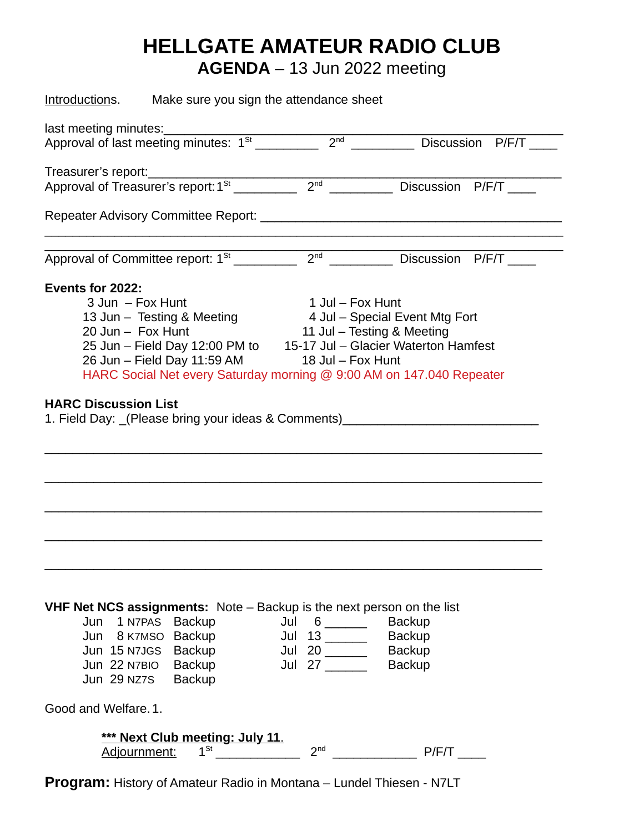# **HELLGATE AMATEUR RADIO CLUB**

**AGENDA** – 13 Jun 2022 meeting

| Introductions. Make sure you sign the attendance sheet                                                                                                                                |                                                                        |                                                                  |  |  |  |  |  |
|---------------------------------------------------------------------------------------------------------------------------------------------------------------------------------------|------------------------------------------------------------------------|------------------------------------------------------------------|--|--|--|--|--|
| last meeting minutes:                                                                                                                                                                 |                                                                        |                                                                  |  |  |  |  |  |
| Approval of last meeting minutes: $1^{St}$                                                                                                                                            | 2 <sup>nd</sup>                                                        | Discussion P/F/T                                                 |  |  |  |  |  |
| Treasurer's report:                                                                                                                                                                   |                                                                        |                                                                  |  |  |  |  |  |
| Approval of Treasurer's report: $1^{st}$ 2 <sup>nd</sup> 2 <sup>nd</sup> Discussion P/F/T                                                                                             |                                                                        |                                                                  |  |  |  |  |  |
| Repeater Advisory Committee Report:<br>Repeater Advisory Committee Report:                                                                                                            |                                                                        |                                                                  |  |  |  |  |  |
|                                                                                                                                                                                       |                                                                        | Discussion P/F/T                                                 |  |  |  |  |  |
| Events for 2022:                                                                                                                                                                      |                                                                        |                                                                  |  |  |  |  |  |
| 3 Jun - Fox Hunt                                                                                                                                                                      | 1 Jul - Fox Hunt                                                       |                                                                  |  |  |  |  |  |
| 13 Jun - Testing & Meeting 4 Jul - Special Event Mtg Fort                                                                                                                             |                                                                        |                                                                  |  |  |  |  |  |
| 20 Jun - Fox Hunt                                                                                                                                                                     | 11 Jul - Testing & Meeting                                             |                                                                  |  |  |  |  |  |
| 25 Jun - Field Day 12:00 PM to 15-17 Jul - Glacier Waterton Hamfest                                                                                                                   |                                                                        |                                                                  |  |  |  |  |  |
| 26 Jun – Field Day 11:59 AM                                                                                                                                                           | 18 Jul - Fox Hunt                                                      |                                                                  |  |  |  |  |  |
| HARC Social Net every Saturday morning @ 9:00 AM on 147.040 Repeater                                                                                                                  |                                                                        |                                                                  |  |  |  |  |  |
| 1. Field Day: (Please bring your ideas & Comments)                                                                                                                                    |                                                                        |                                                                  |  |  |  |  |  |
| VHF Net NCS assignments: Note - Backup is the next person on the list<br>Jun 1 N7PAS Backup<br>Jun 8 K7MSO Backup<br>Jun 15 N7JGS Backup<br>Jun 22 N7BIO Backup<br>Jun 29 NZ7S Backup | Jul $6 \quad \qquad$<br>Jul $13$ $\overline{\qquad \qquad }$<br>Jul 27 | <b>Backup</b><br><b>Backup</b><br><b>Backup</b><br><b>Backup</b> |  |  |  |  |  |
| Good and Welfare. 1.                                                                                                                                                                  |                                                                        |                                                                  |  |  |  |  |  |
| *** Next Club meeting: July 11.<br>$1^{St}$<br>Adjournment:                                                                                                                           | 2 <sup>nd</sup>                                                        | P/F/T                                                            |  |  |  |  |  |

**Program:** History of Amateur Radio in Montana – Lundel Thiesen - N7LT